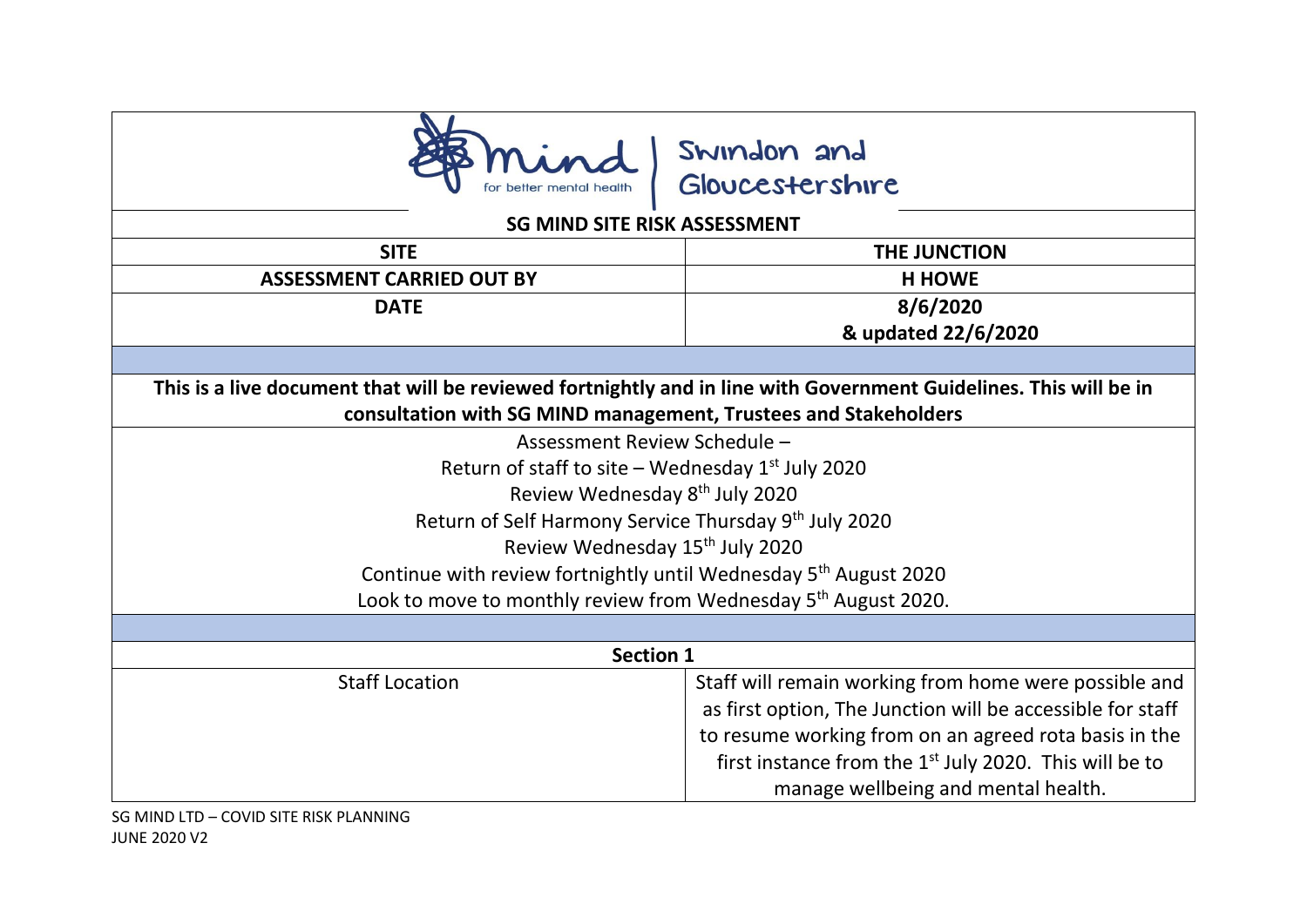

## Swindon and<br>Gloucestershire

## **SG MIND SITE RISK ASSESSMENT**

| <b>SITE</b>                                                                                                       | THE JUNCTION                                                                                                                                                                                                                                                                              |
|-------------------------------------------------------------------------------------------------------------------|-------------------------------------------------------------------------------------------------------------------------------------------------------------------------------------------------------------------------------------------------------------------------------------------|
| <b>ASSESSMENT CARRIED OUT BY</b>                                                                                  | <b>H HOWE</b>                                                                                                                                                                                                                                                                             |
| <b>DATE</b>                                                                                                       | 8/6/2020                                                                                                                                                                                                                                                                                  |
|                                                                                                                   | & updated 22/6/2020                                                                                                                                                                                                                                                                       |
|                                                                                                                   |                                                                                                                                                                                                                                                                                           |
| This is a live document that will be reviewed fortnightly and in line with Government Guidelines. This will be in |                                                                                                                                                                                                                                                                                           |
| consultation with SG MIND management, Trustees and Stakeholders                                                   |                                                                                                                                                                                                                                                                                           |
| Assessment Review Schedule -                                                                                      |                                                                                                                                                                                                                                                                                           |
| Return of staff to site – Wednesday $1st$ July 2020                                                               |                                                                                                                                                                                                                                                                                           |
| Review Wednesday 8 <sup>th</sup> July 2020                                                                        |                                                                                                                                                                                                                                                                                           |
| Return of Self Harmony Service Thursday 9th July 2020                                                             |                                                                                                                                                                                                                                                                                           |
| Review Wednesday 15 <sup>th</sup> July 2020                                                                       |                                                                                                                                                                                                                                                                                           |
| Continue with review fortnightly until Wednesday 5 <sup>th</sup> August 2020                                      |                                                                                                                                                                                                                                                                                           |
| Look to move to monthly review from Wednesday 5 <sup>th</sup> August 2020.                                        |                                                                                                                                                                                                                                                                                           |
|                                                                                                                   |                                                                                                                                                                                                                                                                                           |
| <b>Section 1</b>                                                                                                  |                                                                                                                                                                                                                                                                                           |
| <b>Staff Location</b>                                                                                             | Staff will remain working from home were possible and<br>as first option, The Junction will be accessible for staff<br>to resume working from on an agreed rota basis in the<br>first instance from the 1 <sup>st</sup> July 2020. This will be to<br>manage wellbeing and mental health. |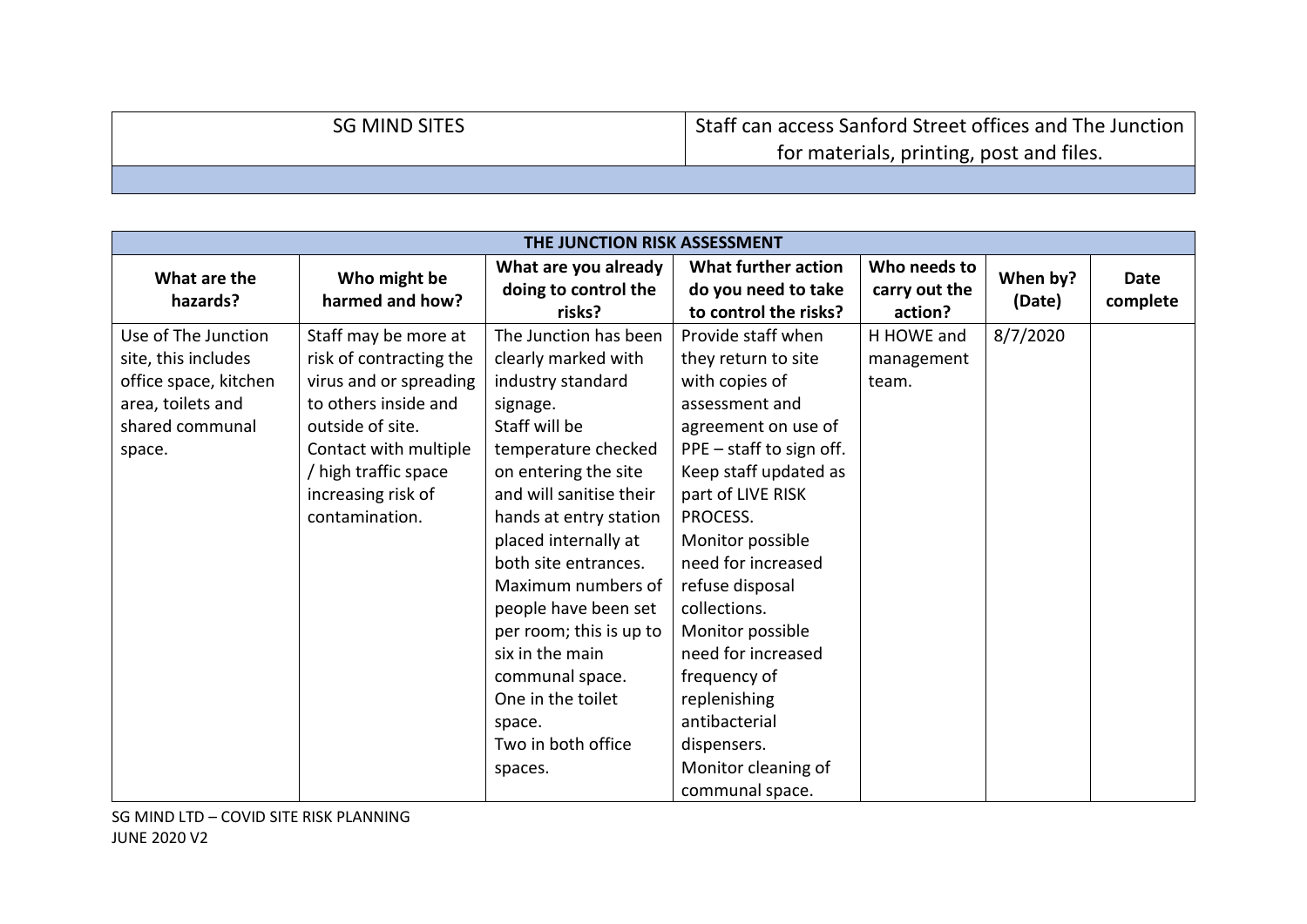| <b>SG MIND SITES</b> | Staff can access Sanford Street offices and The Junction |
|----------------------|----------------------------------------------------------|
|                      | for materials, printing, post and files.                 |
|                      |                                                          |

| THE JUNCTION RISK ASSESSMENT |                                 |                                                        |                                                                     |                                          |                    |                         |
|------------------------------|---------------------------------|--------------------------------------------------------|---------------------------------------------------------------------|------------------------------------------|--------------------|-------------------------|
| What are the<br>hazards?     | Who might be<br>harmed and how? | What are you already<br>doing to control the<br>risks? | What further action<br>do you need to take<br>to control the risks? | Who needs to<br>carry out the<br>action? | When by?<br>(Date) | <b>Date</b><br>complete |
| Use of The Junction          | Staff may be more at            | The Junction has been                                  | Provide staff when                                                  | H HOWE and                               | 8/7/2020           |                         |
| site, this includes          | risk of contracting the         | clearly marked with                                    | they return to site                                                 | management                               |                    |                         |
| office space, kitchen        | virus and or spreading          | industry standard                                      | with copies of                                                      | team.                                    |                    |                         |
| area, toilets and            | to others inside and            | signage.                                               | assessment and                                                      |                                          |                    |                         |
| shared communal              | outside of site.                | Staff will be                                          | agreement on use of                                                 |                                          |                    |                         |
| space.                       | Contact with multiple           | temperature checked                                    | PPE - staff to sign off.                                            |                                          |                    |                         |
|                              | / high traffic space            | on entering the site                                   | Keep staff updated as                                               |                                          |                    |                         |
|                              | increasing risk of              | and will sanitise their                                | part of LIVE RISK                                                   |                                          |                    |                         |
|                              | contamination.                  | hands at entry station                                 | PROCESS.                                                            |                                          |                    |                         |
|                              |                                 | placed internally at                                   | Monitor possible                                                    |                                          |                    |                         |
|                              |                                 | both site entrances.                                   | need for increased                                                  |                                          |                    |                         |
|                              |                                 | Maximum numbers of                                     | refuse disposal                                                     |                                          |                    |                         |
|                              |                                 | people have been set                                   | collections.                                                        |                                          |                    |                         |
|                              |                                 | per room; this is up to                                | Monitor possible                                                    |                                          |                    |                         |
|                              |                                 | six in the main                                        | need for increased                                                  |                                          |                    |                         |
|                              |                                 | communal space.                                        | frequency of                                                        |                                          |                    |                         |
|                              |                                 | One in the toilet                                      | replenishing                                                        |                                          |                    |                         |
|                              |                                 | space.                                                 | antibacterial                                                       |                                          |                    |                         |
|                              |                                 | Two in both office                                     | dispensers.                                                         |                                          |                    |                         |
|                              |                                 | spaces.                                                | Monitor cleaning of                                                 |                                          |                    |                         |
|                              |                                 |                                                        | communal space.                                                     |                                          |                    |                         |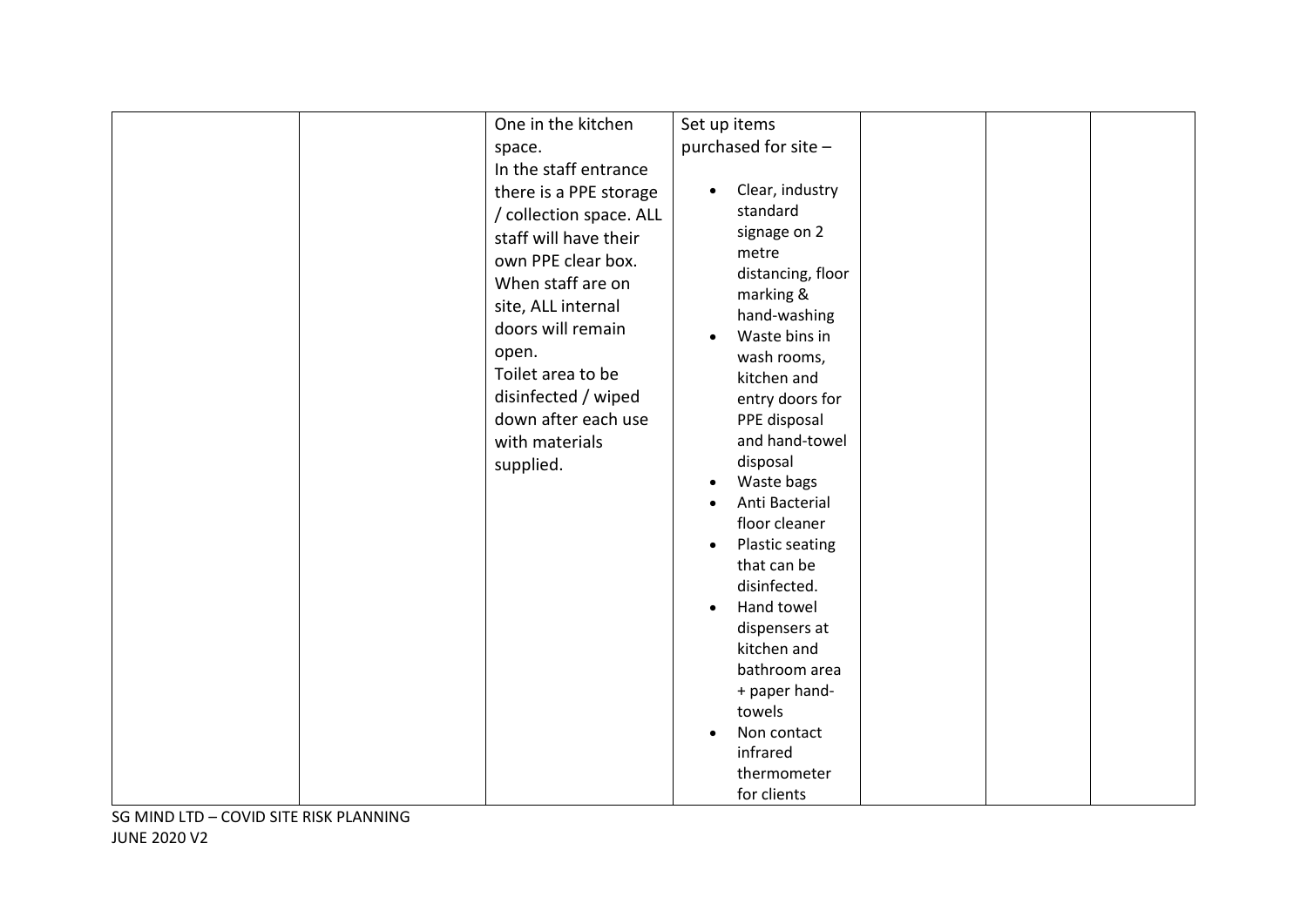| One in the kitchen      | Set up items                        |  |  |
|-------------------------|-------------------------------------|--|--|
|                         |                                     |  |  |
| space.                  | purchased for site -                |  |  |
| In the staff entrance   |                                     |  |  |
| there is a PPE storage  | Clear, industry<br>$\bullet$        |  |  |
| / collection space. ALL | standard                            |  |  |
| staff will have their   | signage on 2                        |  |  |
| own PPE clear box.      | metre                               |  |  |
| When staff are on       | distancing, floor                   |  |  |
|                         | marking &                           |  |  |
| site, ALL internal      | hand-washing                        |  |  |
| doors will remain       | Waste bins in                       |  |  |
| open.                   | wash rooms,                         |  |  |
| Toilet area to be       | kitchen and                         |  |  |
| disinfected / wiped     | entry doors for                     |  |  |
| down after each use     | PPE disposal                        |  |  |
| with materials          | and hand-towel                      |  |  |
| supplied.               | disposal                            |  |  |
|                         | Waste bags                          |  |  |
|                         | Anti Bacterial                      |  |  |
|                         | floor cleaner                       |  |  |
|                         | <b>Plastic seating</b><br>$\bullet$ |  |  |
|                         | that can be                         |  |  |
|                         | disinfected.                        |  |  |
|                         | Hand towel<br>$\bullet$             |  |  |
|                         | dispensers at                       |  |  |
|                         | kitchen and                         |  |  |
|                         | bathroom area                       |  |  |
|                         | + paper hand-                       |  |  |
|                         | towels                              |  |  |
|                         | Non contact<br>$\bullet$            |  |  |
|                         | infrared                            |  |  |
|                         | thermometer                         |  |  |
|                         | for clients                         |  |  |
|                         |                                     |  |  |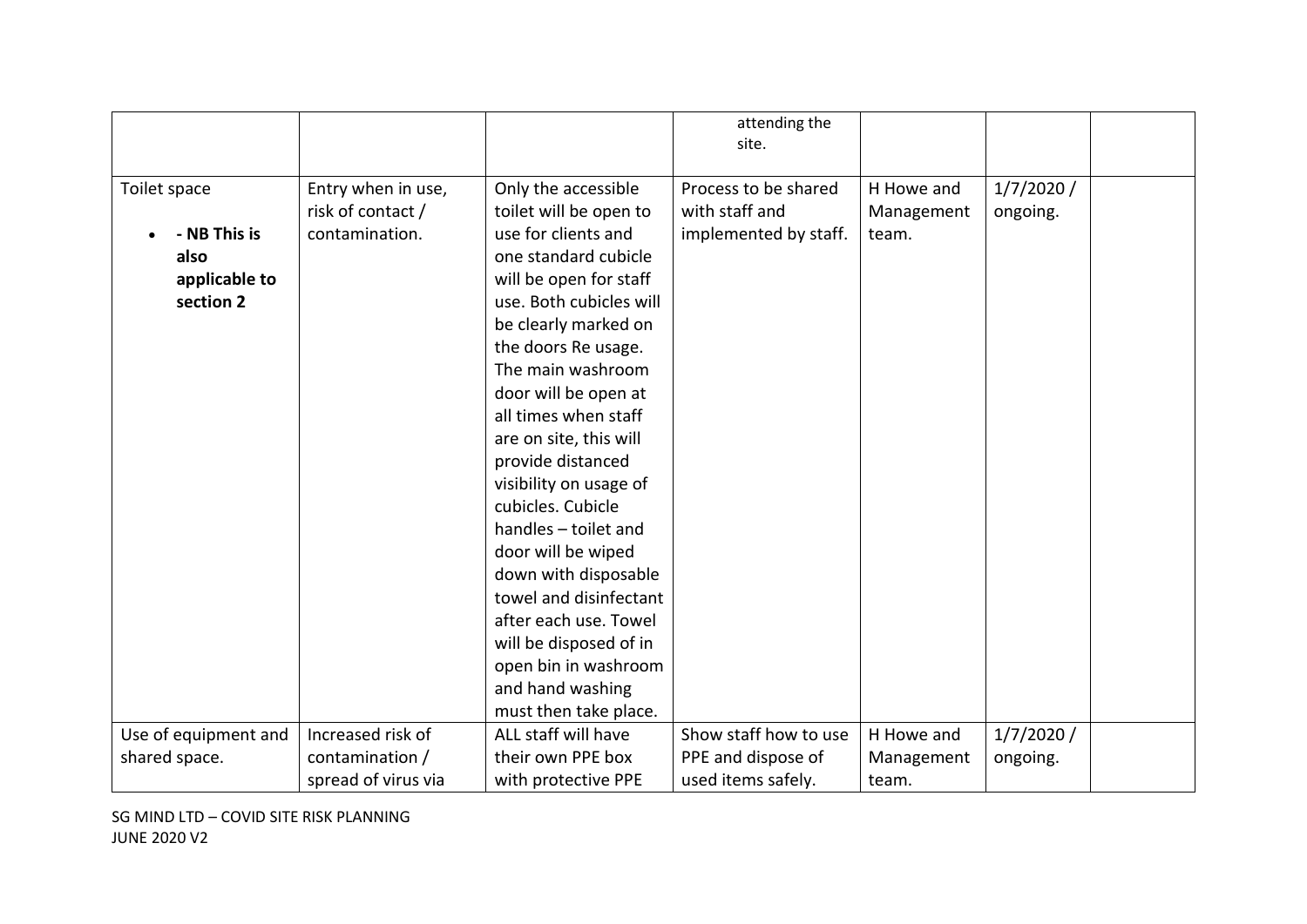|                      |                     |                         | attending the         |            |           |  |
|----------------------|---------------------|-------------------------|-----------------------|------------|-----------|--|
|                      |                     |                         | site.                 |            |           |  |
|                      |                     |                         |                       |            |           |  |
| Toilet space         | Entry when in use,  | Only the accessible     | Process to be shared  | H Howe and | 1/7/2020/ |  |
|                      | risk of contact /   | toilet will be open to  | with staff and        | Management | ongoing.  |  |
| - NB This is         | contamination.      | use for clients and     | implemented by staff. | team.      |           |  |
| also                 |                     | one standard cubicle    |                       |            |           |  |
| applicable to        |                     | will be open for staff  |                       |            |           |  |
| section 2            |                     | use. Both cubicles will |                       |            |           |  |
|                      |                     | be clearly marked on    |                       |            |           |  |
|                      |                     | the doors Re usage.     |                       |            |           |  |
|                      |                     | The main washroom       |                       |            |           |  |
|                      |                     | door will be open at    |                       |            |           |  |
|                      |                     | all times when staff    |                       |            |           |  |
|                      |                     | are on site, this will  |                       |            |           |  |
|                      |                     | provide distanced       |                       |            |           |  |
|                      |                     | visibility on usage of  |                       |            |           |  |
|                      |                     | cubicles. Cubicle       |                       |            |           |  |
|                      |                     | handles - toilet and    |                       |            |           |  |
|                      |                     | door will be wiped      |                       |            |           |  |
|                      |                     | down with disposable    |                       |            |           |  |
|                      |                     | towel and disinfectant  |                       |            |           |  |
|                      |                     | after each use. Towel   |                       |            |           |  |
|                      |                     | will be disposed of in  |                       |            |           |  |
|                      |                     | open bin in washroom    |                       |            |           |  |
|                      |                     | and hand washing        |                       |            |           |  |
|                      |                     | must then take place.   |                       |            |           |  |
| Use of equipment and | Increased risk of   | ALL staff will have     | Show staff how to use | H Howe and | 1/7/2020/ |  |
| shared space.        | contamination /     | their own PPE box       | PPE and dispose of    | Management | ongoing.  |  |
|                      | spread of virus via | with protective PPE     | used items safely.    | team.      |           |  |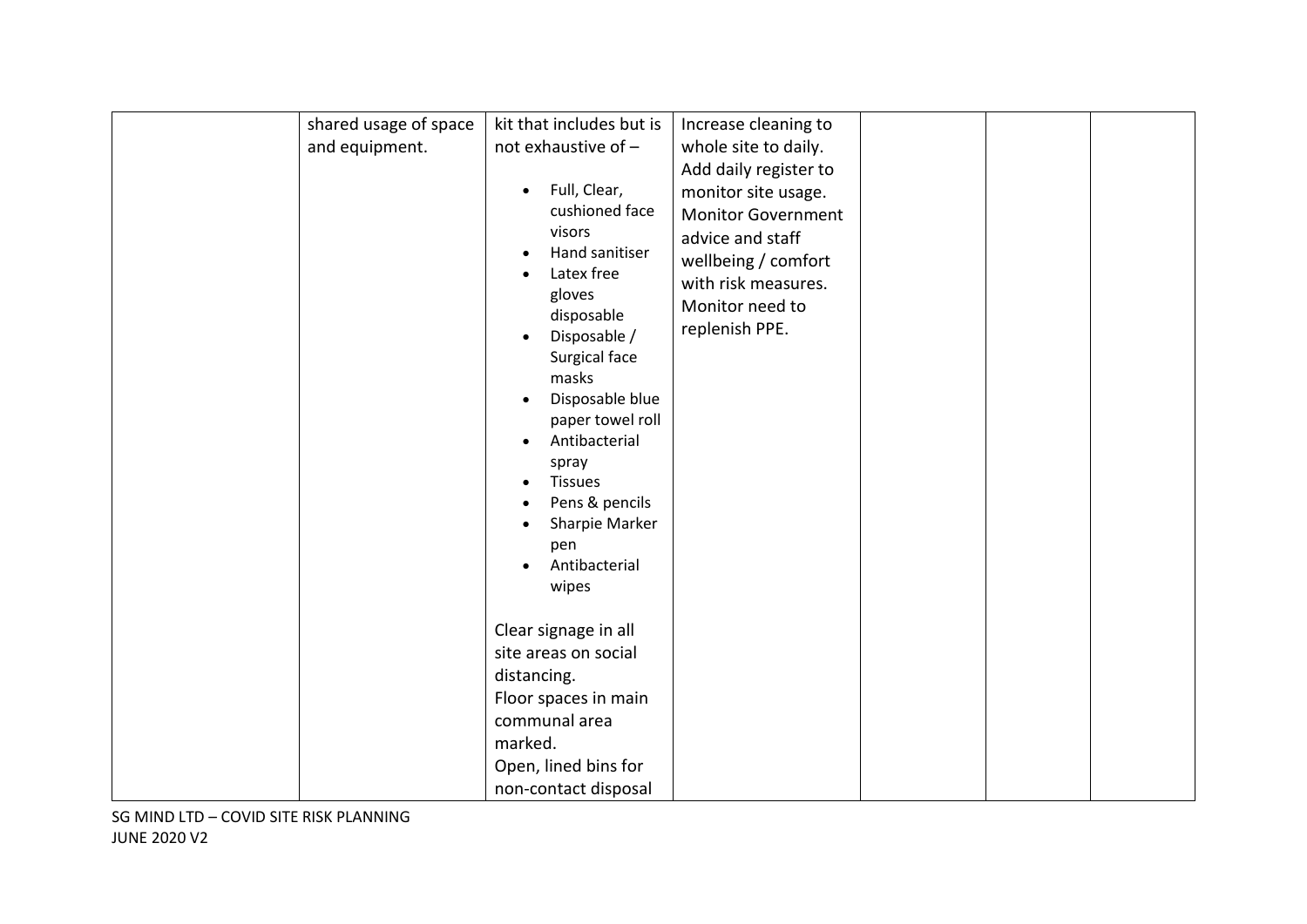| shared usage of space | kit that includes but is     | Increase cleaning to      |  |  |
|-----------------------|------------------------------|---------------------------|--|--|
| and equipment.        | not exhaustive of -          | whole site to daily.      |  |  |
|                       |                              |                           |  |  |
|                       |                              | Add daily register to     |  |  |
|                       | Full, Clear,<br>$\bullet$    | monitor site usage.       |  |  |
|                       | cushioned face               | <b>Monitor Government</b> |  |  |
|                       | visors                       | advice and staff          |  |  |
|                       | Hand sanitiser               | wellbeing / comfort       |  |  |
|                       | Latex free                   | with risk measures.       |  |  |
|                       | gloves                       | Monitor need to           |  |  |
|                       | disposable                   | replenish PPE.            |  |  |
|                       | Disposable /<br>$\bullet$    |                           |  |  |
|                       | Surgical face                |                           |  |  |
|                       | masks                        |                           |  |  |
|                       | Disposable blue<br>$\bullet$ |                           |  |  |
|                       | paper towel roll             |                           |  |  |
|                       | Antibacterial                |                           |  |  |
|                       | spray                        |                           |  |  |
|                       | <b>Tissues</b>               |                           |  |  |
|                       | Pens & pencils               |                           |  |  |
|                       | Sharpie Marker               |                           |  |  |
|                       | pen                          |                           |  |  |
|                       | Antibacterial<br>$\bullet$   |                           |  |  |
|                       | wipes                        |                           |  |  |
|                       |                              |                           |  |  |
|                       | Clear signage in all         |                           |  |  |
|                       | site areas on social         |                           |  |  |
|                       | distancing.                  |                           |  |  |
|                       | Floor spaces in main         |                           |  |  |
|                       | communal area                |                           |  |  |
|                       | marked.                      |                           |  |  |
|                       | Open, lined bins for         |                           |  |  |
|                       | non-contact disposal         |                           |  |  |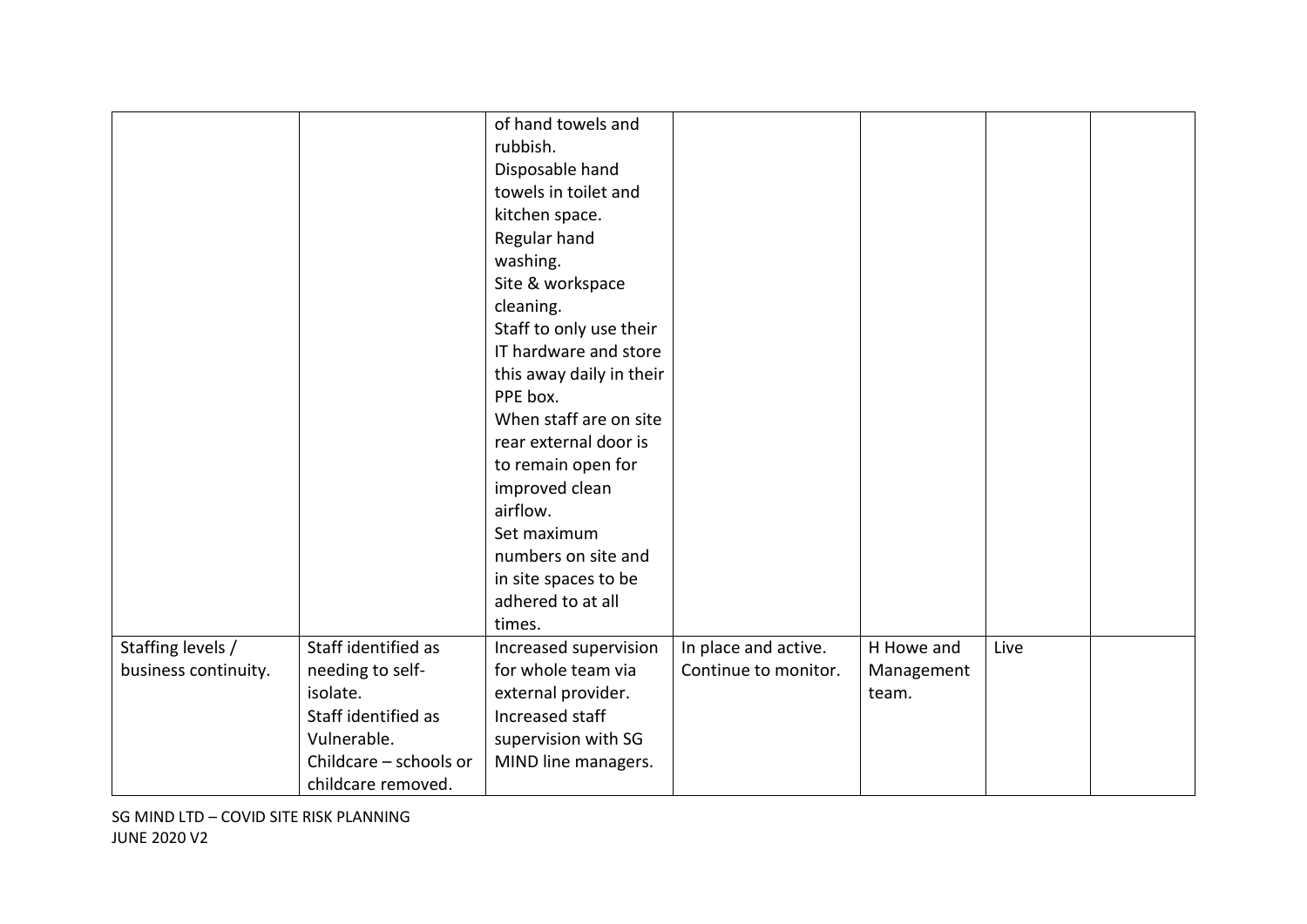|                      |                        | of hand towels and       |                      |            |      |  |
|----------------------|------------------------|--------------------------|----------------------|------------|------|--|
|                      |                        | rubbish.                 |                      |            |      |  |
|                      |                        | Disposable hand          |                      |            |      |  |
|                      |                        | towels in toilet and     |                      |            |      |  |
|                      |                        | kitchen space.           |                      |            |      |  |
|                      |                        | Regular hand             |                      |            |      |  |
|                      |                        | washing.                 |                      |            |      |  |
|                      |                        | Site & workspace         |                      |            |      |  |
|                      |                        | cleaning.                |                      |            |      |  |
|                      |                        | Staff to only use their  |                      |            |      |  |
|                      |                        | IT hardware and store    |                      |            |      |  |
|                      |                        | this away daily in their |                      |            |      |  |
|                      |                        | PPE box.                 |                      |            |      |  |
|                      |                        | When staff are on site   |                      |            |      |  |
|                      |                        | rear external door is    |                      |            |      |  |
|                      |                        | to remain open for       |                      |            |      |  |
|                      |                        | improved clean           |                      |            |      |  |
|                      |                        | airflow.                 |                      |            |      |  |
|                      |                        | Set maximum              |                      |            |      |  |
|                      |                        | numbers on site and      |                      |            |      |  |
|                      |                        | in site spaces to be     |                      |            |      |  |
|                      |                        | adhered to at all        |                      |            |      |  |
|                      |                        | times.                   |                      |            |      |  |
| Staffing levels /    | Staff identified as    | Increased supervision    | In place and active. | H Howe and | Live |  |
| business continuity. | needing to self-       | for whole team via       | Continue to monitor. | Management |      |  |
|                      | isolate.               | external provider.       |                      | team.      |      |  |
|                      | Staff identified as    | Increased staff          |                      |            |      |  |
|                      | Vulnerable.            | supervision with SG      |                      |            |      |  |
|                      | Childcare - schools or | MIND line managers.      |                      |            |      |  |
|                      | childcare removed.     |                          |                      |            |      |  |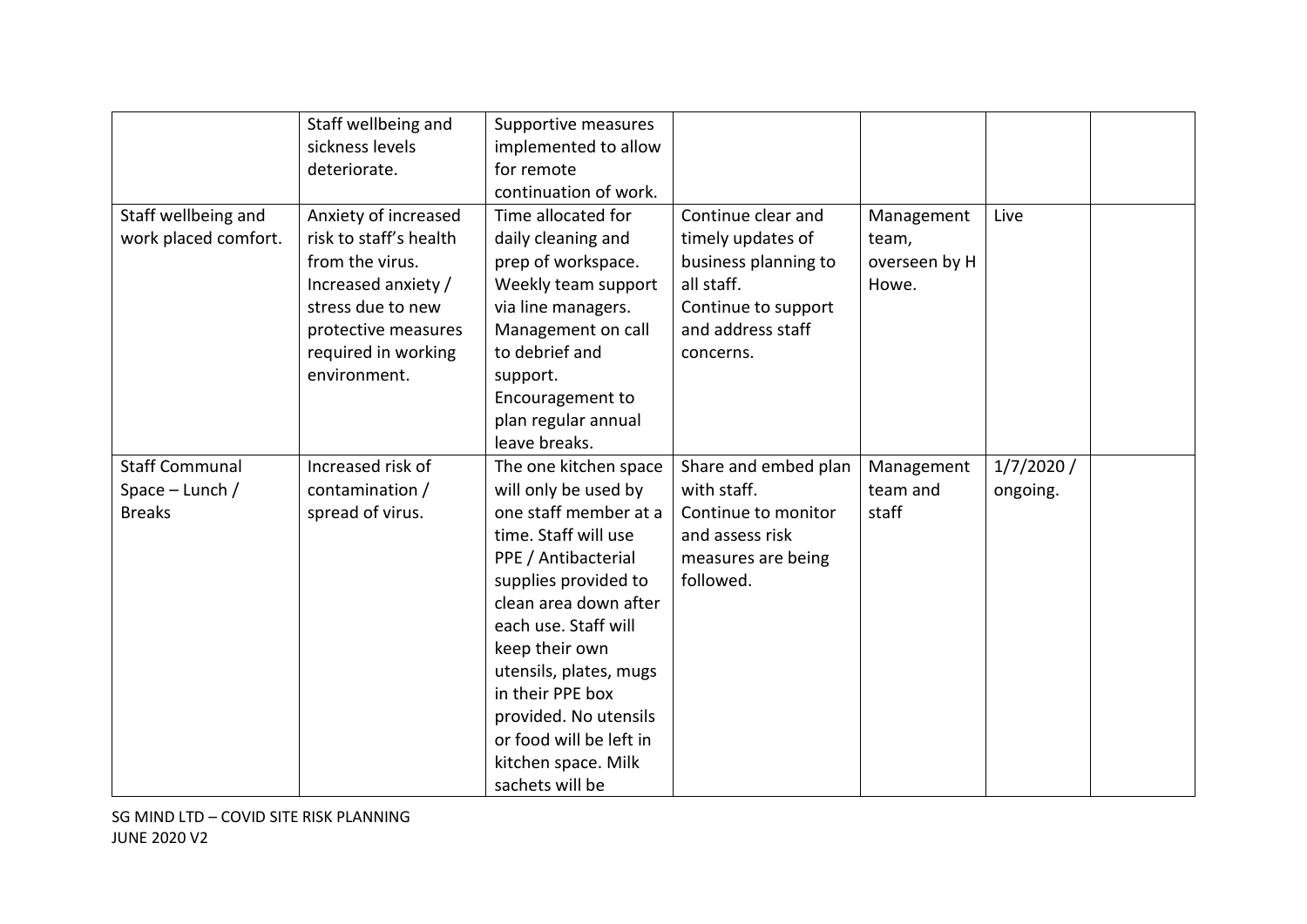|                                                             | Staff wellbeing and<br>sickness levels<br>deteriorate.                                                                                                                      | Supportive measures<br>implemented to allow<br>for remote                                                                                                                                                                                                                                                                                                    |                                                                                                                                        |                                               |                       |  |
|-------------------------------------------------------------|-----------------------------------------------------------------------------------------------------------------------------------------------------------------------------|--------------------------------------------------------------------------------------------------------------------------------------------------------------------------------------------------------------------------------------------------------------------------------------------------------------------------------------------------------------|----------------------------------------------------------------------------------------------------------------------------------------|-----------------------------------------------|-----------------------|--|
| Staff wellbeing and<br>work placed comfort.                 | Anxiety of increased<br>risk to staff's health<br>from the virus.<br>Increased anxiety /<br>stress due to new<br>protective measures<br>required in working<br>environment. | continuation of work.<br>Time allocated for<br>daily cleaning and<br>prep of workspace.<br>Weekly team support<br>via line managers.<br>Management on call<br>to debrief and<br>support.<br>Encouragement to<br>plan regular annual<br>leave breaks.                                                                                                         | Continue clear and<br>timely updates of<br>business planning to<br>all staff.<br>Continue to support<br>and address staff<br>concerns. | Management<br>team,<br>overseen by H<br>Howe. | Live                  |  |
| <b>Staff Communal</b><br>Space $-$ Lunch /<br><b>Breaks</b> | Increased risk of<br>contamination /<br>spread of virus.                                                                                                                    | The one kitchen space<br>will only be used by<br>one staff member at a<br>time. Staff will use<br>PPE / Antibacterial<br>supplies provided to<br>clean area down after<br>each use. Staff will<br>keep their own<br>utensils, plates, mugs<br>in their PPE box<br>provided. No utensils<br>or food will be left in<br>kitchen space. Milk<br>sachets will be | Share and embed plan<br>with staff.<br>Continue to monitor<br>and assess risk<br>measures are being<br>followed.                       | Management<br>team and<br>staff               | 1/7/2020/<br>ongoing. |  |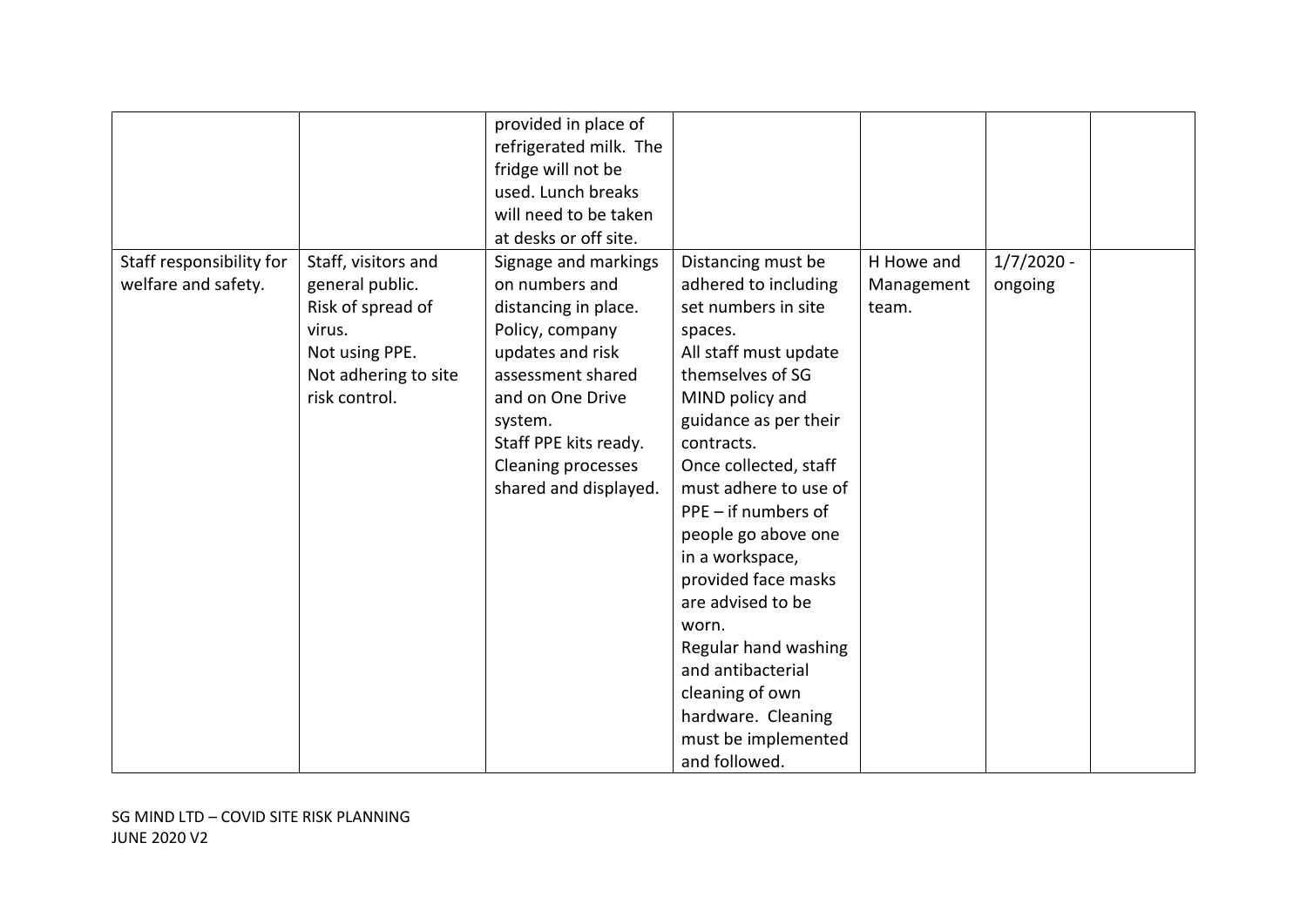|                          |                      | provided in place of      |                       |            |              |  |
|--------------------------|----------------------|---------------------------|-----------------------|------------|--------------|--|
|                          |                      | refrigerated milk. The    |                       |            |              |  |
|                          |                      | fridge will not be        |                       |            |              |  |
|                          |                      | used. Lunch breaks        |                       |            |              |  |
|                          |                      | will need to be taken     |                       |            |              |  |
|                          |                      | at desks or off site.     |                       |            |              |  |
| Staff responsibility for | Staff, visitors and  | Signage and markings      | Distancing must be    | H Howe and | $1/7/2020 -$ |  |
| welfare and safety.      | general public.      | on numbers and            | adhered to including  | Management | ongoing      |  |
|                          | Risk of spread of    | distancing in place.      | set numbers in site   | team.      |              |  |
|                          | virus.               | Policy, company           | spaces.               |            |              |  |
|                          | Not using PPE.       | updates and risk          | All staff must update |            |              |  |
|                          | Not adhering to site | assessment shared         | themselves of SG      |            |              |  |
|                          | risk control.        | and on One Drive          | MIND policy and       |            |              |  |
|                          |                      |                           |                       |            |              |  |
|                          |                      | system.                   | guidance as per their |            |              |  |
|                          |                      | Staff PPE kits ready.     | contracts.            |            |              |  |
|                          |                      | <b>Cleaning processes</b> | Once collected, staff |            |              |  |
|                          |                      | shared and displayed.     | must adhere to use of |            |              |  |
|                          |                      |                           | $PPE - if numbers of$ |            |              |  |
|                          |                      |                           | people go above one   |            |              |  |
|                          |                      |                           | in a workspace,       |            |              |  |
|                          |                      |                           | provided face masks   |            |              |  |
|                          |                      |                           | are advised to be     |            |              |  |
|                          |                      |                           | worn.                 |            |              |  |
|                          |                      |                           | Regular hand washing  |            |              |  |
|                          |                      |                           | and antibacterial     |            |              |  |
|                          |                      |                           | cleaning of own       |            |              |  |
|                          |                      |                           | hardware. Cleaning    |            |              |  |
|                          |                      |                           | must be implemented   |            |              |  |
|                          |                      |                           | and followed.         |            |              |  |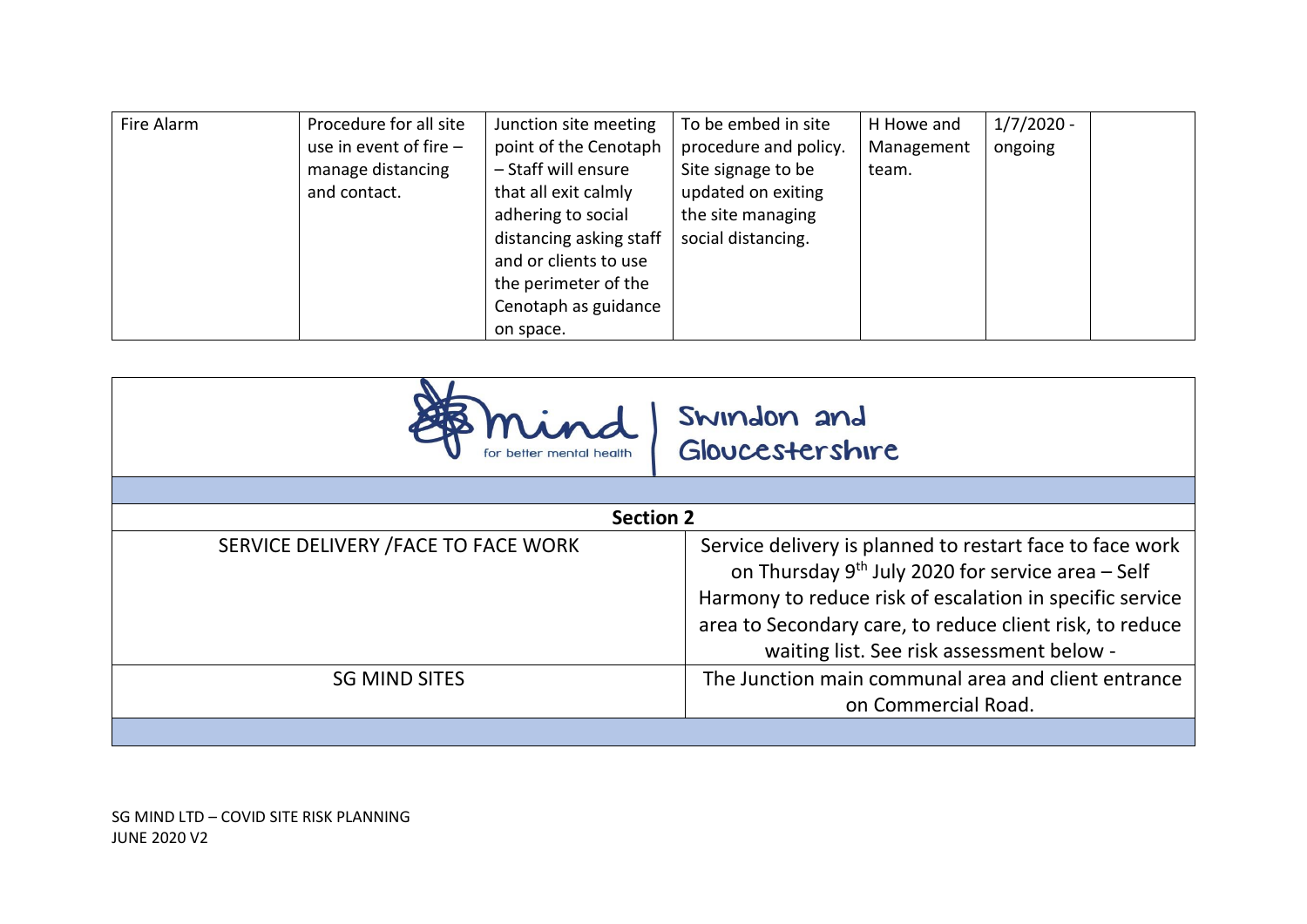| Fire Alarm | Procedure for all site   | Junction site meeting   | To be embed in site   | H Howe and | $1/7/2020 -$ |  |
|------------|--------------------------|-------------------------|-----------------------|------------|--------------|--|
|            | use in event of fire $-$ | point of the Cenotaph   | procedure and policy. | Management | ongoing      |  |
|            | manage distancing        | - Staff will ensure     | Site signage to be    | team.      |              |  |
|            | and contact.             | that all exit calmly    | updated on exiting    |            |              |  |
|            |                          | adhering to social      | the site managing     |            |              |  |
|            |                          | distancing asking staff | social distancing.    |            |              |  |
|            |                          | and or clients to use   |                       |            |              |  |
|            |                          | the perimeter of the    |                       |            |              |  |
|            |                          | Cenotaph as guidance    |                       |            |              |  |
|            |                          | on space.               |                       |            |              |  |

| Gloucestershire                                                                                                                                                                                                                                                                         |
|-----------------------------------------------------------------------------------------------------------------------------------------------------------------------------------------------------------------------------------------------------------------------------------------|
|                                                                                                                                                                                                                                                                                         |
| <b>Section 2</b>                                                                                                                                                                                                                                                                        |
| Service delivery is planned to restart face to face work<br>on Thursday $9^{th}$ July 2020 for service area - Self<br>Harmony to reduce risk of escalation in specific service<br>area to Secondary care, to reduce client risk, to reduce<br>waiting list. See risk assessment below - |
| The Junction main communal area and client entrance<br>on Commercial Road.                                                                                                                                                                                                              |
|                                                                                                                                                                                                                                                                                         |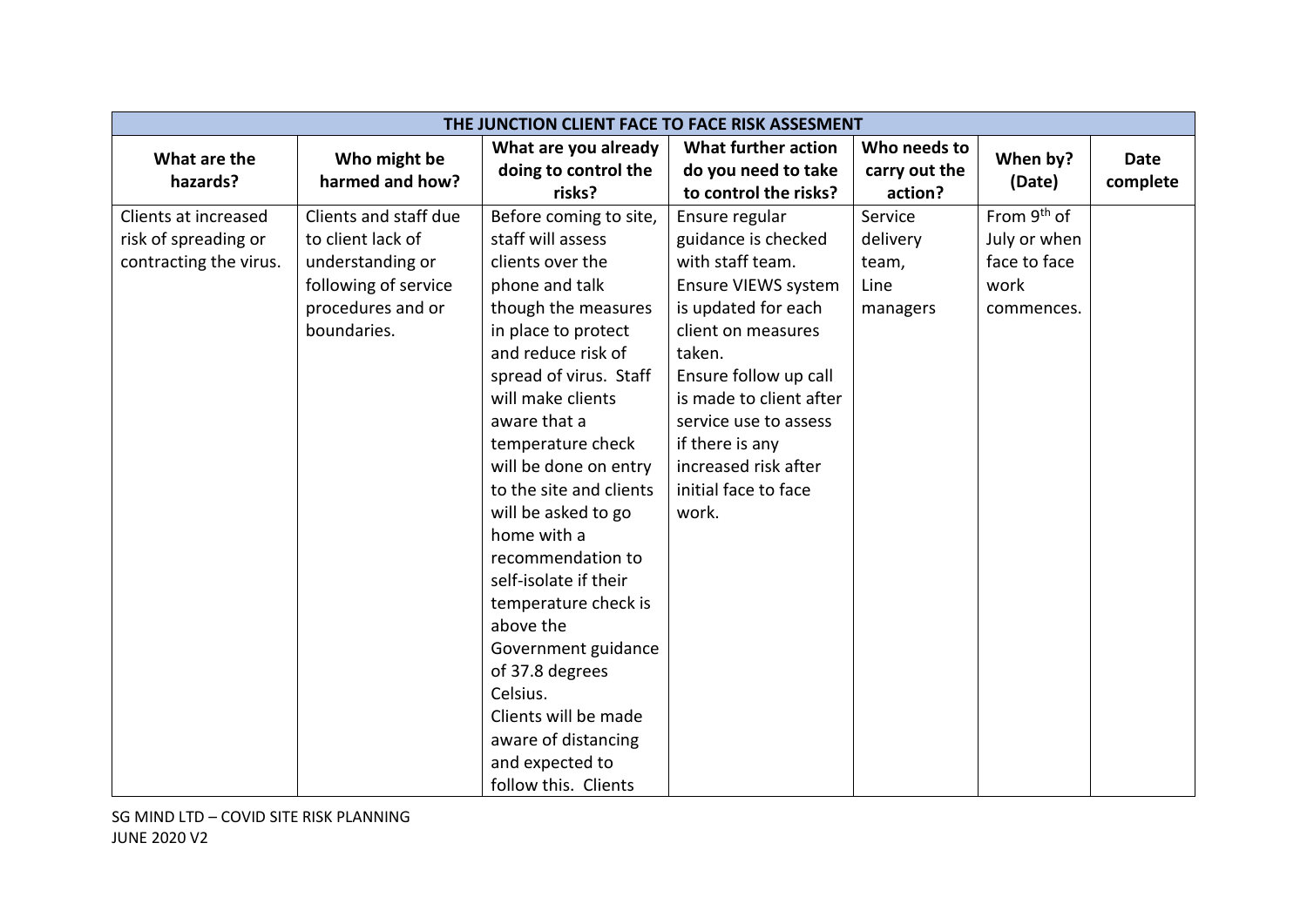|                        | THE JUNCTION CLIENT FACE TO FACE RISK ASSESMENT |                         |                         |               |                         |             |  |
|------------------------|-------------------------------------------------|-------------------------|-------------------------|---------------|-------------------------|-------------|--|
| What are the           | Who might be                                    | What are you already    | What further action     | Who needs to  | When by?                | <b>Date</b> |  |
| hazards?               | harmed and how?                                 | doing to control the    | do you need to take     | carry out the | (Date)                  |             |  |
|                        |                                                 | risks?                  | to control the risks?   | action?       |                         | complete    |  |
| Clients at increased   | Clients and staff due                           | Before coming to site,  | Ensure regular          | Service       | From 9 <sup>th</sup> of |             |  |
| risk of spreading or   | to client lack of                               | staff will assess       | guidance is checked     | delivery      | July or when            |             |  |
| contracting the virus. | understanding or                                | clients over the        | with staff team.        | team,         | face to face            |             |  |
|                        | following of service                            | phone and talk          | Ensure VIEWS system     | Line          | work                    |             |  |
|                        | procedures and or                               | though the measures     | is updated for each     | managers      | commences.              |             |  |
|                        | boundaries.                                     | in place to protect     | client on measures      |               |                         |             |  |
|                        |                                                 | and reduce risk of      | taken.                  |               |                         |             |  |
|                        |                                                 | spread of virus. Staff  | Ensure follow up call   |               |                         |             |  |
|                        |                                                 | will make clients       | is made to client after |               |                         |             |  |
|                        |                                                 | aware that a            | service use to assess   |               |                         |             |  |
|                        |                                                 | temperature check       | if there is any         |               |                         |             |  |
|                        |                                                 | will be done on entry   | increased risk after    |               |                         |             |  |
|                        |                                                 | to the site and clients | initial face to face    |               |                         |             |  |
|                        |                                                 | will be asked to go     | work.                   |               |                         |             |  |
|                        |                                                 | home with a             |                         |               |                         |             |  |
|                        |                                                 | recommendation to       |                         |               |                         |             |  |
|                        |                                                 | self-isolate if their   |                         |               |                         |             |  |
|                        |                                                 | temperature check is    |                         |               |                         |             |  |
|                        |                                                 | above the               |                         |               |                         |             |  |
|                        |                                                 | Government guidance     |                         |               |                         |             |  |
|                        |                                                 | of 37.8 degrees         |                         |               |                         |             |  |
|                        |                                                 | Celsius.                |                         |               |                         |             |  |
|                        |                                                 | Clients will be made    |                         |               |                         |             |  |
|                        |                                                 | aware of distancing     |                         |               |                         |             |  |
|                        |                                                 | and expected to         |                         |               |                         |             |  |
|                        |                                                 | follow this. Clients    |                         |               |                         |             |  |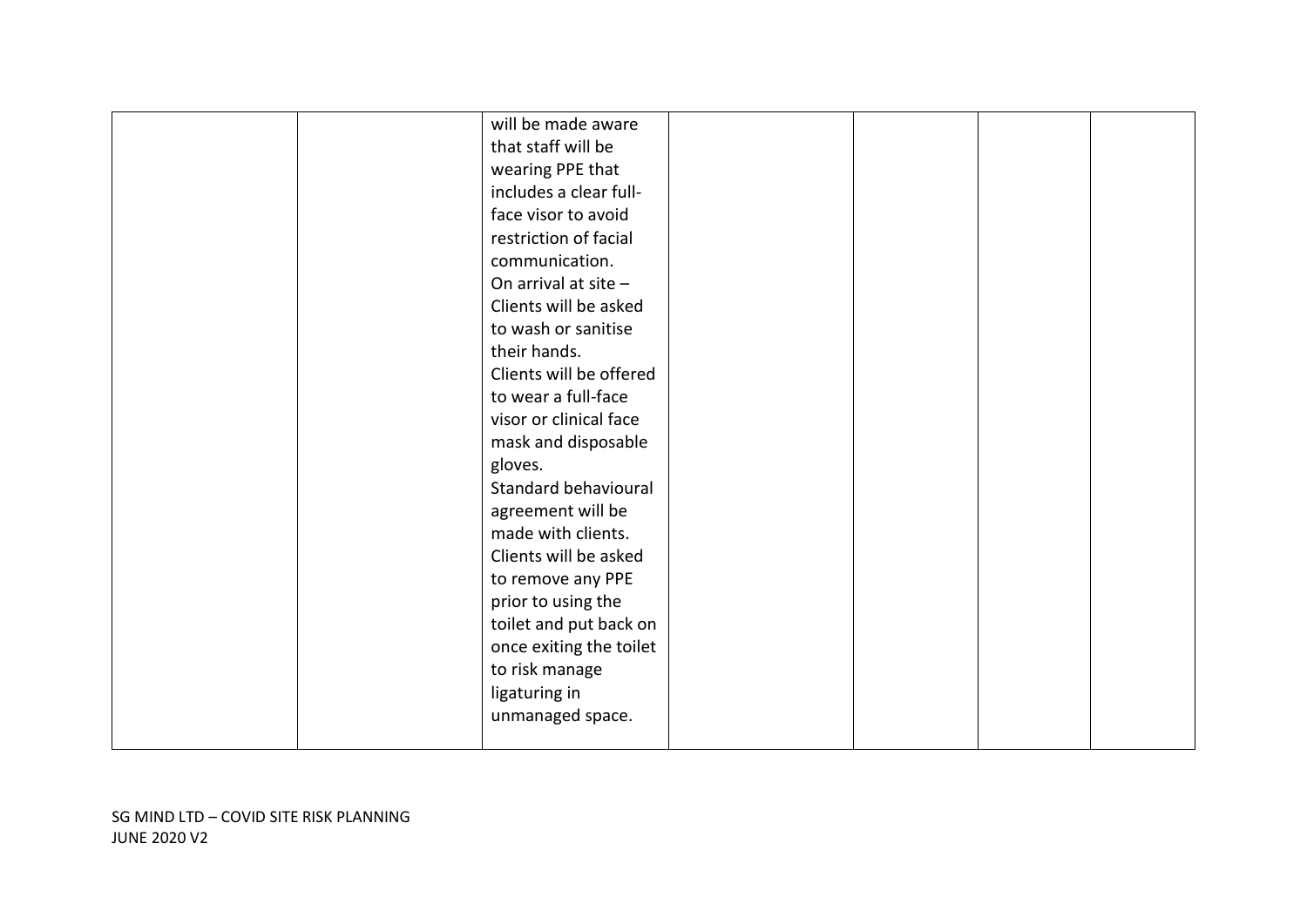|  | will be made aware      |  |  |
|--|-------------------------|--|--|
|  | that staff will be      |  |  |
|  | wearing PPE that        |  |  |
|  | includes a clear full-  |  |  |
|  | face visor to avoid     |  |  |
|  | restriction of facial   |  |  |
|  | communication.          |  |  |
|  | On arrival at site $-$  |  |  |
|  | Clients will be asked   |  |  |
|  | to wash or sanitise     |  |  |
|  | their hands.            |  |  |
|  | Clients will be offered |  |  |
|  | to wear a full-face     |  |  |
|  | visor or clinical face  |  |  |
|  | mask and disposable     |  |  |
|  | gloves.                 |  |  |
|  | Standard behavioural    |  |  |
|  | agreement will be       |  |  |
|  | made with clients.      |  |  |
|  | Clients will be asked   |  |  |
|  | to remove any PPE       |  |  |
|  | prior to using the      |  |  |
|  | toilet and put back on  |  |  |
|  | once exiting the toilet |  |  |
|  | to risk manage          |  |  |
|  | ligaturing in           |  |  |
|  | unmanaged space.        |  |  |
|  |                         |  |  |
|  |                         |  |  |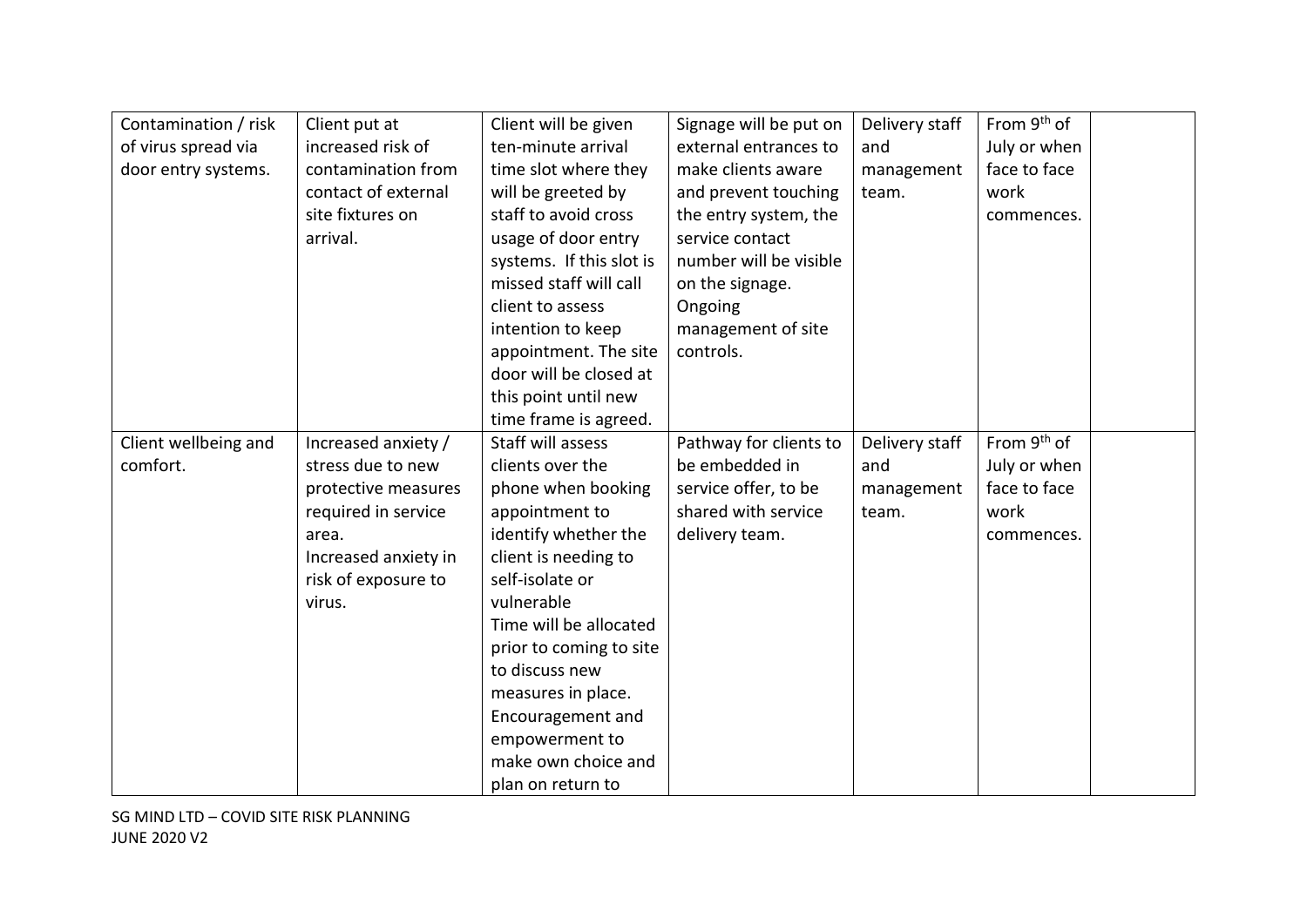| Contamination / risk | Client put at        | Client will be given     | Signage will be put on | Delivery staff | From 9 <sup>th</sup> of |  |
|----------------------|----------------------|--------------------------|------------------------|----------------|-------------------------|--|
| of virus spread via  | increased risk of    | ten-minute arrival       | external entrances to  | and            | July or when            |  |
| door entry systems.  | contamination from   | time slot where they     | make clients aware     | management     | face to face            |  |
|                      | contact of external  | will be greeted by       | and prevent touching   | team.          | work                    |  |
|                      | site fixtures on     | staff to avoid cross     | the entry system, the  |                | commences.              |  |
|                      | arrival.             | usage of door entry      | service contact        |                |                         |  |
|                      |                      | systems. If this slot is | number will be visible |                |                         |  |
|                      |                      | missed staff will call   | on the signage.        |                |                         |  |
|                      |                      | client to assess         | Ongoing                |                |                         |  |
|                      |                      | intention to keep        | management of site     |                |                         |  |
|                      |                      | appointment. The site    | controls.              |                |                         |  |
|                      |                      | door will be closed at   |                        |                |                         |  |
|                      |                      | this point until new     |                        |                |                         |  |
|                      |                      | time frame is agreed.    |                        |                |                         |  |
| Client wellbeing and | Increased anxiety /  | Staff will assess        | Pathway for clients to | Delivery staff | From 9 <sup>th</sup> of |  |
| comfort.             | stress due to new    | clients over the         | be embedded in         | and            | July or when            |  |
|                      | protective measures  | phone when booking       | service offer, to be   | management     | face to face            |  |
|                      | required in service  | appointment to           | shared with service    | team.          | work                    |  |
|                      | area.                | identify whether the     | delivery team.         |                | commences.              |  |
|                      | Increased anxiety in | client is needing to     |                        |                |                         |  |
|                      | risk of exposure to  | self-isolate or          |                        |                |                         |  |
|                      | virus.               | vulnerable               |                        |                |                         |  |
|                      |                      | Time will be allocated   |                        |                |                         |  |
|                      |                      | prior to coming to site  |                        |                |                         |  |
|                      |                      | to discuss new           |                        |                |                         |  |
|                      |                      | measures in place.       |                        |                |                         |  |
|                      |                      | Encouragement and        |                        |                |                         |  |
|                      |                      | empowerment to           |                        |                |                         |  |
|                      |                      | make own choice and      |                        |                |                         |  |
|                      |                      | plan on return to        |                        |                |                         |  |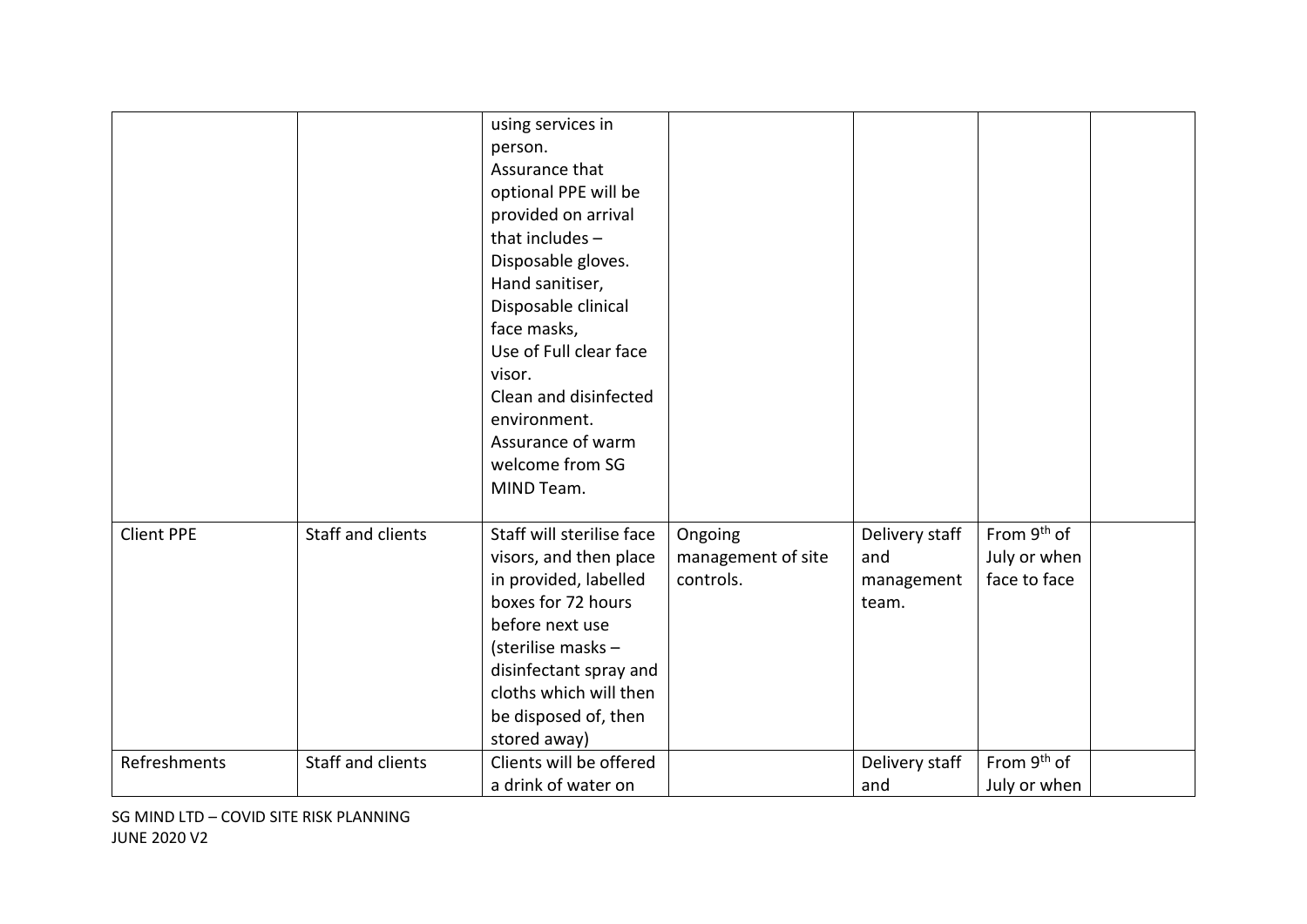|                   |                   | using services in<br>person.<br>Assurance that<br>optional PPE will be<br>provided on arrival<br>that includes $-$<br>Disposable gloves.<br>Hand sanitiser,<br>Disposable clinical<br>face masks,<br>Use of Full clear face<br>visor.<br>Clean and disinfected<br>environment.<br>Assurance of warm<br>welcome from SG<br>MIND Team. |                                            |                                              |                                                         |  |
|-------------------|-------------------|--------------------------------------------------------------------------------------------------------------------------------------------------------------------------------------------------------------------------------------------------------------------------------------------------------------------------------------|--------------------------------------------|----------------------------------------------|---------------------------------------------------------|--|
| <b>Client PPE</b> | Staff and clients | Staff will sterilise face<br>visors, and then place<br>in provided, labelled<br>boxes for 72 hours<br>before next use<br>(sterilise masks -<br>disinfectant spray and<br>cloths which will then<br>be disposed of, then<br>stored away)                                                                                              | Ongoing<br>management of site<br>controls. | Delivery staff<br>and<br>management<br>team. | From 9 <sup>th</sup> of<br>July or when<br>face to face |  |
| Refreshments      | Staff and clients | Clients will be offered<br>a drink of water on                                                                                                                                                                                                                                                                                       |                                            | Delivery staff<br>and                        | From 9 <sup>th</sup> of<br>July or when                 |  |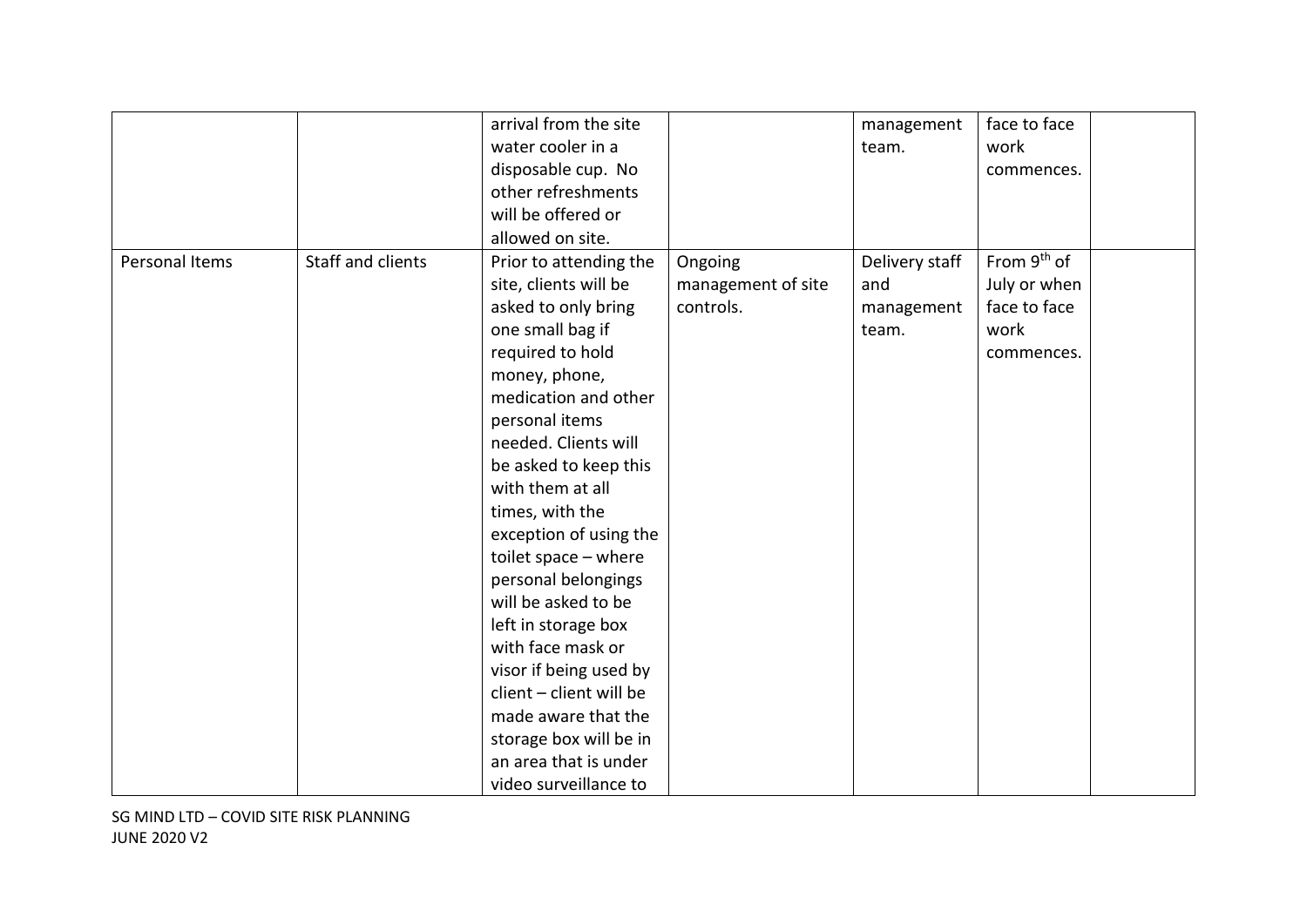|                |                   | arrival from the site   |                    | management     | face to face            |  |
|----------------|-------------------|-------------------------|--------------------|----------------|-------------------------|--|
|                |                   | water cooler in a       |                    | team.          | work                    |  |
|                |                   | disposable cup. No      |                    |                | commences.              |  |
|                |                   | other refreshments      |                    |                |                         |  |
|                |                   | will be offered or      |                    |                |                         |  |
|                |                   | allowed on site.        |                    |                |                         |  |
| Personal Items | Staff and clients | Prior to attending the  | Ongoing            | Delivery staff | From 9 <sup>th</sup> of |  |
|                |                   | site, clients will be   | management of site | and            | July or when            |  |
|                |                   | asked to only bring     | controls.          | management     | face to face            |  |
|                |                   | one small bag if        |                    | team.          | work                    |  |
|                |                   | required to hold        |                    |                | commences.              |  |
|                |                   | money, phone,           |                    |                |                         |  |
|                |                   | medication and other    |                    |                |                         |  |
|                |                   | personal items          |                    |                |                         |  |
|                |                   | needed. Clients will    |                    |                |                         |  |
|                |                   | be asked to keep this   |                    |                |                         |  |
|                |                   | with them at all        |                    |                |                         |  |
|                |                   | times, with the         |                    |                |                         |  |
|                |                   | exception of using the  |                    |                |                         |  |
|                |                   | toilet space - where    |                    |                |                         |  |
|                |                   | personal belongings     |                    |                |                         |  |
|                |                   | will be asked to be     |                    |                |                         |  |
|                |                   | left in storage box     |                    |                |                         |  |
|                |                   | with face mask or       |                    |                |                         |  |
|                |                   | visor if being used by  |                    |                |                         |  |
|                |                   | client - client will be |                    |                |                         |  |
|                |                   | made aware that the     |                    |                |                         |  |
|                |                   | storage box will be in  |                    |                |                         |  |
|                |                   | an area that is under   |                    |                |                         |  |
|                |                   | video surveillance to   |                    |                |                         |  |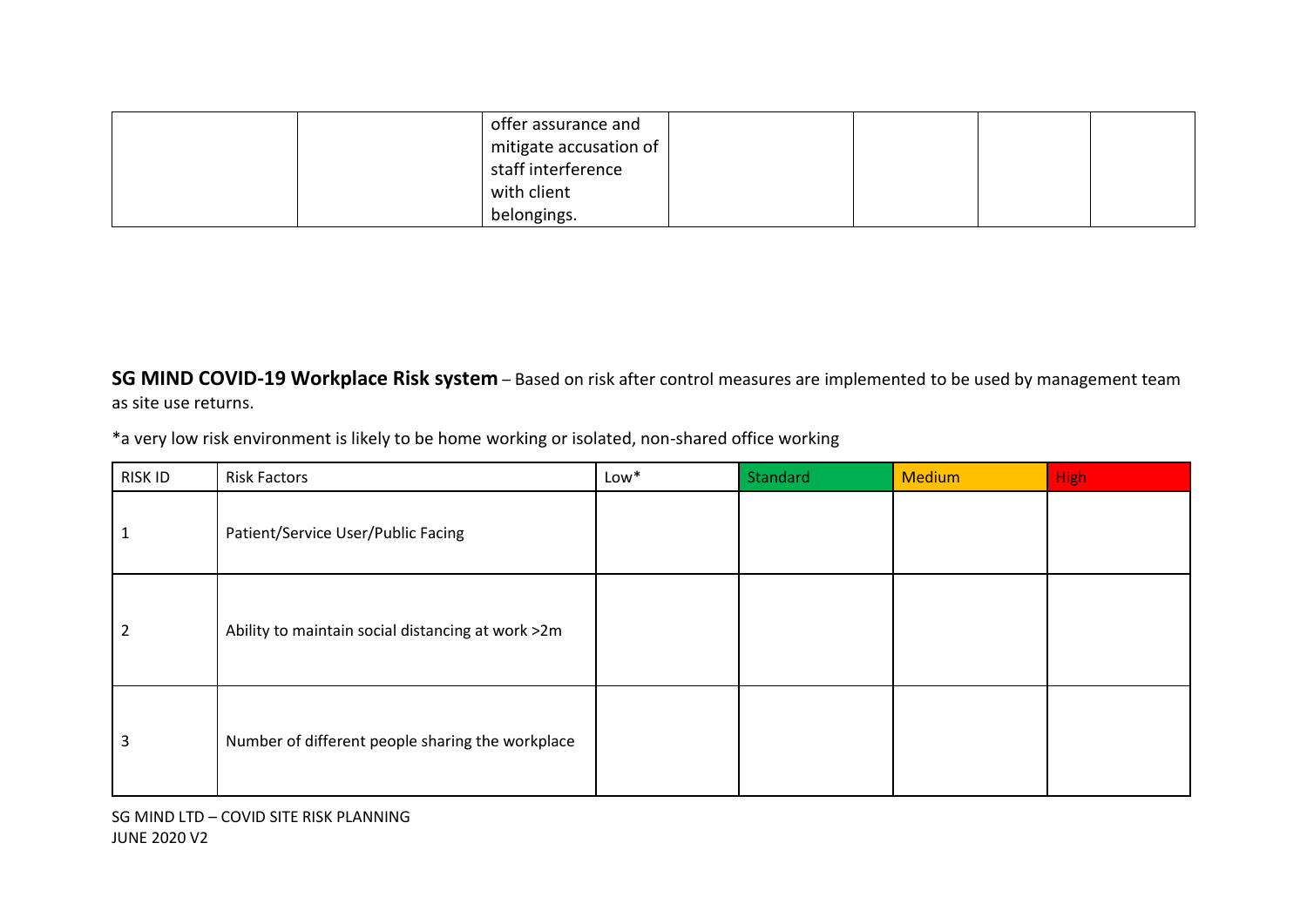|  | offer assurance and    |  |  |
|--|------------------------|--|--|
|  | mitigate accusation of |  |  |
|  | staff interference     |  |  |
|  | with client            |  |  |
|  | belongings.            |  |  |

**SG MIND COVID-19 Workplace Risk system** – Based on risk after control measures are implemented to be used by management team as site use returns.

\*a very low risk environment is likely to be home working or isolated, non-shared office working

| RISK ID        | <b>Risk Factors</b>                               | Low* | Standard | <b>Medium</b> | <b>High</b> |
|----------------|---------------------------------------------------|------|----------|---------------|-------------|
|                | Patient/Service User/Public Facing                |      |          |               |             |
| $\overline{2}$ | Ability to maintain social distancing at work >2m |      |          |               |             |
| 3              | Number of different people sharing the workplace  |      |          |               |             |